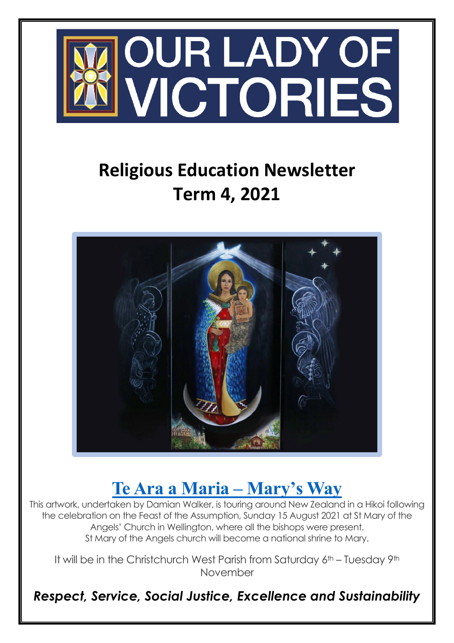

## **Religious Education Newsletter Term 4, 2021**



## **[Te Ara a Maria –](https://chchcatholic.nz/2021/10/te-ara-a-maria/) Mary's Way**

This artwork, undertaken by Damian Walker, is touring around New Zealand in a Hikoi following the celebration on the Feast of the Assumption, Sunday 15 August 2021 at St Mary of the Angels' Church in Wellington, where all the bishops were present. St Mary of the Angels church will become a national shrine to Mary.

It will be in the Christchurch West Parish from Saturday 6th – Tuesday 9th November

*Respect, Service, Social Justice, Excellence and Sustainability*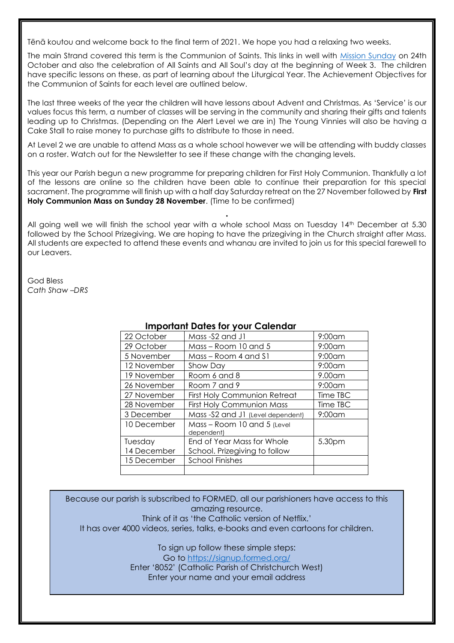Tēnā koutou and welcome back to the final term of 2021. We hope you had a relaxing two weeks.

The main Strand covered this term is the Communion of Saints. This links in well with [Mission Sunday](https://missio.org.uk/what-is-world-mission-sunday/) on 24th October and also the celebration of All Saints and All Soul's day at the beginning of Week 3. The children have specific lessons on these, as part of learning about the Liturgical Year. The Achievement Objectives for the Communion of Saints for each level are outlined below.

The last three weeks of the year the children will have lessons about Advent and Christmas. As 'Service' is our values focus this term, a number of classes will be serving in the community and sharing their gifts and talents leading up to Christmas. (Depending on the Alert Level we are in) The Young Vinnies will also be having a Cake Stall to raise money to purchase gifts to distribute to those in need.

At Level 2 we are unable to attend Mass as a whole school however we will be attending with buddy classes on a roster. Watch out for the Newsletter to see if these change with the changing levels.

This year our Parish begun a new programme for preparing children for First Holy Communion. Thankfully a lot of the lessons are online so the children have been able to continue their preparation for this special sacrament. The programme will finish up with a half day Saturday retreat on the 27 November followed by **First Holy Communion Mass on Sunday 28 November**. (Time to be confirmed)

All going well we will finish the school year with a whole school Mass on Tuesday 14th December at 5.30 followed by the School Prizegiving. We are hoping to have the prizegiving in the Church straight after Mass. All students are expected to attend these events and whanau are invited to join us for this special farewell to our Leavers.

.

God Bless *Cath Shaw –DRS*

| pvu = u.vv. |                                           |           |  |
|-------------|-------------------------------------------|-----------|--|
| 22 October  | Mass-S2 and J1                            | $9:00$ am |  |
| 29 October  | Mass – Room 10 and 5                      | $9:00$ am |  |
| 5 November  | Mass – Room 4 and S1                      | $9:00$ am |  |
| 12 November | Show Day                                  | $9:00$ am |  |
| 19 November | Room 6 and 8                              | $9.00$ am |  |
| 26 November | Room 7 and 9                              | $9:00$ am |  |
| 27 November | <b>First Holy Communion Retreat</b>       | Time TBC  |  |
| 28 November | <b>First Holy Communion Mass</b>          | Time TBC  |  |
| 3 December  | Mass -S2 and J1 (Level dependent)         | $9:00$ am |  |
| 10 December | Mass - Room 10 and 5 (Level<br>dependent) |           |  |
| Tuesday     | End of Year Mass for Whole                | 5.30pm    |  |
| 14 December | School. Prizegiving to follow             |           |  |
| 15 December | <b>School Finishes</b>                    |           |  |
|             |                                           |           |  |

## **Important Dates for your Calendar**

Because our parish is subscribed to FORMED, all our parishioners have access to this amazing resource. Think of it as 'the Catholic version of Netflix.' It has over 4000 videos, series, talks, e-books and even cartoons for children.

> To sign up follow these simple steps: Go to <https://signup.formed.org/> Enter '8052' (Catholic Parish of Christchurch West) Enter your name and your email address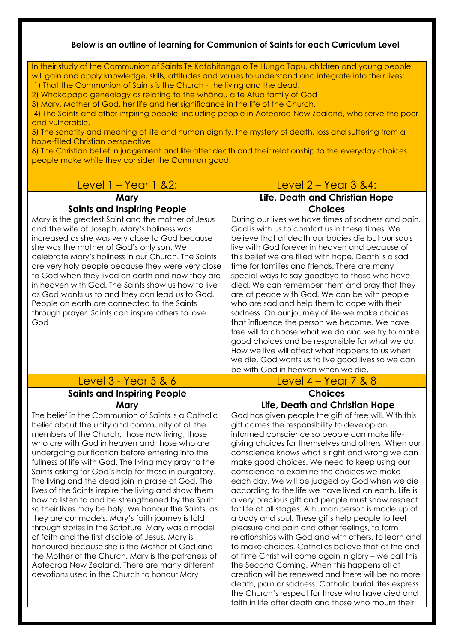## **Below is an outline of learning for Communion of Saints for each Curriculum Level**

In their study of the Communion of Saints Te Kotahitanga o Te Hunga Tapu, children and young people will gain and apply knowledge, skills, attitudes and values to understand and integrate into their lives:

1) That the Communion of Saints is the Church - the living and the dead.

2) Whakapapa genealogy as relating to the whānau a te Atua family of God

3) Mary, Mother of God, her life and her significance in the life of the Church.

4) The Saints and other inspiring people, including people in Aotearoa New Zealand, who serve the poor and vulnerable.

5) The sanctity and meaning of life and human dignity, the mystery of death, loss and suffering from a hope-filled Christian perspective.

6) The Christian belief in judgement and life after death and their relationship to the everyday choices people make while they consider the Common good.

| <u> Level 1 – Year 1 &amp;2:</u>                                                                                                                                                                                                                                                                                                                                                                                                                                                                                                                                                                                                                                                                                                                                                                                                                                                                                                                                                  | <u>Level 2 – Year 3 &amp;4:</u>                                                                                                                                                                                                                                                                                                                                                                                                                                                                                                                                                                                                                                                                                                                                                                                                                                                                                                                                                                                                                                                                                                          |
|-----------------------------------------------------------------------------------------------------------------------------------------------------------------------------------------------------------------------------------------------------------------------------------------------------------------------------------------------------------------------------------------------------------------------------------------------------------------------------------------------------------------------------------------------------------------------------------------------------------------------------------------------------------------------------------------------------------------------------------------------------------------------------------------------------------------------------------------------------------------------------------------------------------------------------------------------------------------------------------|------------------------------------------------------------------------------------------------------------------------------------------------------------------------------------------------------------------------------------------------------------------------------------------------------------------------------------------------------------------------------------------------------------------------------------------------------------------------------------------------------------------------------------------------------------------------------------------------------------------------------------------------------------------------------------------------------------------------------------------------------------------------------------------------------------------------------------------------------------------------------------------------------------------------------------------------------------------------------------------------------------------------------------------------------------------------------------------------------------------------------------------|
| Mary<br><b>Saints and Inspiring People</b>                                                                                                                                                                                                                                                                                                                                                                                                                                                                                                                                                                                                                                                                                                                                                                                                                                                                                                                                        | Life, Death and Christian Hope<br><b>Choices</b>                                                                                                                                                                                                                                                                                                                                                                                                                                                                                                                                                                                                                                                                                                                                                                                                                                                                                                                                                                                                                                                                                         |
| Mary is the greatest Saint and the mother of Jesus<br>and the wife of Joseph. Mary's holiness was<br>increased as she was very close to God because<br>she was the mother of God's only son. We<br>celebrate Mary's holiness in our Church. The Saints<br>are very holy people because they were very close<br>to God when they lived on earth and now they are<br>in heaven with God. The Saints show us how to live<br>as God wants us to and they can lead us to God.<br>People on earth are connected to the Saints<br>through prayer. Saints can inspire others to love<br>God                                                                                                                                                                                                                                                                                                                                                                                               | During our lives we have times of sadness and pain.<br>God is with us to comfort us in these times. We<br>believe that at death our bodies die but our souls<br>live with God forever in heaven and because of<br>this belief we are filled with hope. Death is a sad<br>time for families and friends. There are many<br>special ways to say goodbye to those who have<br>died. We can remember them and pray that they<br>are at peace with God. We can be with people<br>who are sad and help them to cope with their<br>sadness. On our journey of life we make choices<br>that influence the person we become. We have<br>free will to choose what we do and we try to make<br>good choices and be responsible for what we do.<br>How we live will affect what happens to us when<br>we die. God wants us to live good lives so we can<br>be with God in heaven when we die.                                                                                                                                                                                                                                                        |
| <u>Level 3 - Year 5 &amp; 6</u>                                                                                                                                                                                                                                                                                                                                                                                                                                                                                                                                                                                                                                                                                                                                                                                                                                                                                                                                                   | <u>Level 4 – Year 7 &amp; 8</u>                                                                                                                                                                                                                                                                                                                                                                                                                                                                                                                                                                                                                                                                                                                                                                                                                                                                                                                                                                                                                                                                                                          |
| <b>Saints and Inspiring People</b>                                                                                                                                                                                                                                                                                                                                                                                                                                                                                                                                                                                                                                                                                                                                                                                                                                                                                                                                                | <b>Choices</b>                                                                                                                                                                                                                                                                                                                                                                                                                                                                                                                                                                                                                                                                                                                                                                                                                                                                                                                                                                                                                                                                                                                           |
| Mary                                                                                                                                                                                                                                                                                                                                                                                                                                                                                                                                                                                                                                                                                                                                                                                                                                                                                                                                                                              | Life, Death and Christian Hope                                                                                                                                                                                                                                                                                                                                                                                                                                                                                                                                                                                                                                                                                                                                                                                                                                                                                                                                                                                                                                                                                                           |
| The belief in the Communion of Saints is a Catholic<br>belief about the unity and community of all the<br>members of the Church, those now living, those<br>who are with God in heaven and those who are<br>undergoing purification before entering into the<br>fullness of life with God. The living may pray to the<br>Saints asking for God's help for those in purgatory.<br>The living and the dead join in praise of God. The<br>lives of the Saints inspire the living and show them<br>how to listen to and be strengthened by the Spirit<br>so their lives may be holy. We honour the Saints, as<br>they are our models. Mary's faith journey is told<br>through stories in the Scripture. Mary was a model<br>of faith and the first disciple of Jesus. Mary is<br>honoured because she is the Mother of God and<br>the Mother of the Church. Mary is the patroness of<br>Aotearoa New Zealand. There are many different<br>devotions used in the Church to honour Mary | God has given people the gift of free will. With this<br>gift comes the responsibility to develop an<br>informed conscience so people can make life-<br>giving choices for themselves and others. When our<br>conscience knows what is right and wrong we can<br>make good choices. We need to keep using our<br>conscience to examine the choices we make<br>each day. We will be judged by God when we die<br>according to the life we have lived on earth. Life is<br>a very precious gift and people must show respect<br>for life at all stages. A human person is made up of<br>a body and soul. These gifts help people to feel<br>pleasure and pain and other feelings, to form<br>relationships with God and with others, to learn and<br>to make choices. Catholics believe that at the end<br>of time Christ will come again in glory - we call this<br>the Second Coming. When this happens all of<br>creation will be renewed and there will be no more<br>death, pain or sadness. Catholic burial rites express<br>the Church's respect for those who have died and<br>faith in life after death and those who mourn their |